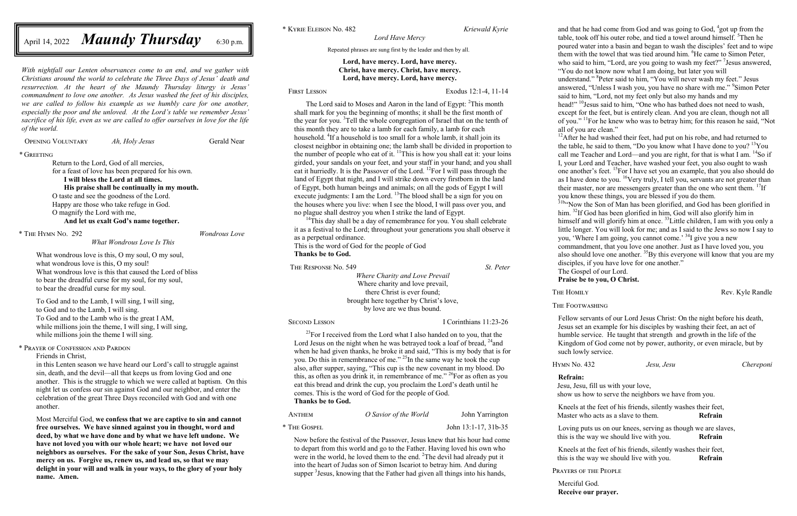*With nightfall our Lenten observances come to an end, and we gather with Christians around the world to celebrate the Three Days of Jesus' death and resurrection. At the heart of the Maundy Thursday liturgy is Jesus' commandment to love one another. As Jesus washed the feet of his disciples, we are called to follow his example as we humbly care for one another, especially the poor and the unloved. At the Lord's table we remember Jesus' sacrifice of his life, even as we are called to offer ourselves in love for the life of the world.*

Opening Voluntary *Ah, Holy Jesus* Gerald Near

*\** Greeting

To God and to the Lamb, I will sing, I will sing, to God and to the Lamb, I will sing. To God and to the Lamb who is the great I AM, while millions join the theme, I will sing, I will sing, while millions join the theme I will sing.

Return to the Lord, God of all mercies,

for a feast of love has been prepared for his own.

**I will bless the Lord at all times.**

**His praise shall be continually in my mouth.** O taste and see the goodness of the Lord.

Happy are those who take refuge in God.

O magnify the Lord with me,

**And let us exalt God's name together.**

\* The Hymn No. 292 *Wondrous Love*

*What Wondrous Love Is This*

What wondrous love is this, O my soul, O my soul, what wondrous love is this, O my soul! What wondrous love is this that caused the Lord of bliss to bear the dreadful curse for my soul, for my soul, to bear the dreadful curse for my soul.

\* Prayer of Confession and Pardon

Friends in Christ,

in this Lenten season we have heard our Lord's call to struggle against sin, death, and the devil—all that keeps us from loving God and one another. This is the struggle to which we were called at baptism. On this night let us confess our sin against God and our neighbor, and enter the celebration of the great Three Days reconciled with God and with one another.

The Lord said to Moses and Aaron in the land of Egypt: <sup>2</sup>This month shall mark for you the beginning of months; it shall be the first month of the year for you. <sup>3</sup>Tell the whole congregation of Israel that on the tenth of this month they are to take a lamb for each family, a lamb for each household. <sup>4</sup>If a household is too small for a whole lamb, it shall join its closest neighbor in obtaining one; the lamb shall be divided in proportion to the number of people who eat of it.  $\frac{11}{11}$ This is how you shall eat it: your loins girded, your sandals on your feet, and your staff in your hand; and you shall eat it hurriedly. It is the Passover of the Lord. <sup>12</sup>For I will pass through the land of Egypt that night, and I will strike down every firstborn in the land of Egypt, both human beings and animals; on all the gods of Egypt I will execute judgments: I am the Lord. <sup>13</sup>The blood shall be a sign for you on the houses where you live: when I see the blood, I will pass over you, and no plague shall destroy you when I strike the land of Egypt.

 $14$ This day shall be a day of remembrance for you. You shall celebrate it as a festival to the Lord; throughout your generations you shall observe it as a perpetual ordinance.

Most Merciful God, **we confess that we are captive to sin and cannot free ourselves. We have sinned against you in thought, word and deed, by what we have done and by what we have left undone. We have not loved you with our whole heart; we have not loved our neighbors as ourselves. For the sake of your Son, Jesus Christ, have mercy on us. Forgive us, renew us, and lead us, so that we may delight in your will and walk in your ways, to the glory of your holy name. Amen.**

April 14, 2022 *Maundy Thursday* 6:30 p.m.

 $^{23}$ For I received from the Lord what I also handed on to you, that the Lord Jesus on the night when he was betrayed took a loaf of bread,  $^{24}$  and when he had given thanks, he broke it and said, "This is my body that is for you. Do this in remembrance of me."<sup>25</sup>In the same way he took the cup also, after supper, saying, "This cup is the new covenant in my blood. Do this, as often as you drink it, in remembrance of me." <sup>26</sup>For as often as you eat this bread and drink the cup, you proclaim the Lord's death until he comes. This is the word of God for the people of God. **Thanks be to God.**

\* Kyrie Eleison No. 482 *Kriewald Kyrie*

Now before the festival of the Passover, Jesus knew that his hour had come to depart from this world and go to the Father. Having loved his own who were in the world, he loved them to the end. <sup>2</sup>The devil had already put it into the heart of Judas son of Simon Iscariot to betray him. And during supper <sup>3</sup> Jesus, knowing that the Father had given all things into his hands,

*Lord Have Mercy*

Repeated phrases are sung first by the leader and then by all.

### **Lord, have mercy. Lord, have mercy. Christ, have mercy. Christ, have mercy. Lord, have mercy. Lord, have mercy.**

First Lesson Exodus 12:1-4, 11-14

head!" <sup>10</sup>Jesus said to him, "One who has bathed does not need to wash, except for the feet, but is entirely clean. And you are clean, though not all of you." <sup>11</sup>For he knew who was to betray him; for this reason he said, "Not all of you are clean."

 $12$ After he had washed their feet, had put on his robe, and had returned to the table, he said to them, "Do you know what I have done to you?<sup>13</sup>You call me Teacher and Lord—and you are right, for that is what I am. <sup>14</sup>So if I, your Lord and Teacher, have washed your feet, you also ought to wash one another's feet. <sup>15</sup>For I have set you an example, that you also should do as I have done to you. <sup>16</sup>Very truly, I tell you, servants are not greater than their master, nor are messengers greater than the one who sent them. <sup>17</sup>If you know these things, you are blessed if you do them.

<sup>31b</sup>"Now the Son of Man has been glorified, and God has been glorified in him. <sup>32</sup>If God has been glorified in him, God will also glorify him in himself and will glorify him at once. <sup>33</sup> Little children, I am with you only a little longer. You will look for me; and as I said to the Jews so now I say to you, 'Where I am going, you cannot come.' <sup>34</sup>I give you a new

commandment, that you love one another. Just as I have loved you, you also should love one another.  ${}^{35}$ By this everyone will know that you are my disciples, if you have love for one another."

This is the word of God for the people of God **Thanks be to God.**

The Response No. 549 *St. Peter Where Charity and Love Prevail* Where charity and love prevail, there Christ is ever found; brought here together by Christ's love, by love are we thus bound.

Second Lesson I Corinthians 11:23-26

Anthem *O Savior of the World* John Yarrington

\* The Gospel John 13:1-17, 31b-35

and that he had come from God and was going to God, 4 got up from the table, took off his outer robe, and tied a towel around himself. <sup>5</sup>Then he poured water into a basin and began to wash the disciples' feet and to wipe them with the towel that was tied around him. <sup>6</sup>He came to Simon Peter, who said to him, "Lord, are you going to wash my feet?"<sup>7</sup> Jesus answered, "You do not know now what I am doing, but later you will

understand." 8 Peter said to him, "You will never wash my feet." Jesus answered, "Unless I wash you, you have no share with me." <sup>9</sup>Simon Peter said to him, "Lord, not my feet only but also my hands and my

The Gospel of our Lord.

# **Praise be to you, O Christ.**

THE HOMILY Rev. Kyle Randle

The Footwashing

Fellow servants of our Lord Jesus Christ: On the night before his death, Jesus set an example for his disciples by washing their feet, an act of humble service. He taught that strength and growth in the life of the Kingdom of God come not by power, authority, or even miracle, but by such lowly service.

Hymn No. 432 *Jesu, Jesu Chereponi*

**Refrain:**

Jesu, Jesu, fill us with your love,

show us how to serve the neighbors we have from you.

Kneels at the feet of his friends, silently washes their feet, Master who acts as a slave to them. **Refrain**

Loving puts us on our knees, serving as though we are slaves, this is the way we should live with you. **Refrain**

Kneels at the feet of his friends, silently washes their feet, this is the way we should live with you. **Refrain**

Prayers of the People

Merciful God. **Receive our prayer.**